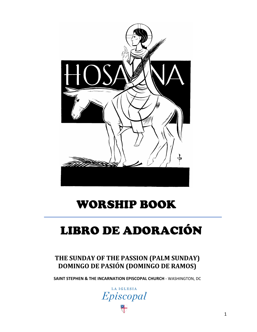

# WORSHIP BOOK

# LIBRO DE ADORACIÓN

# **THE SUNDAY OF THE PASSION (PALM SUNDAY) DOMINGO DE PASIÓN (DOMINGO DE RAMOS)**

**SAINT STEPHEN & THE INCARNATION EPISCOPAL CHURCH** - WASHINGTON, DC

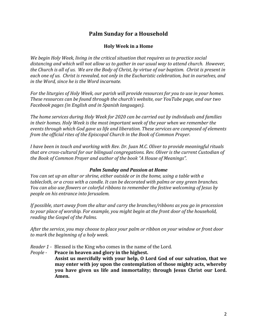# **Palm Sunday for a Household**

#### **Holy Week in a Home**

We begin Holy Week, living in the critical situation that requires us to practice social distancing and which will not allow us to gather in our usual way to attend church. However, *the Church is all of us. We are the Body of Christ, by virtue of our baptism. Christ is present in* each one of us. Christ is revealed, not only in the Eucharistic celebration, but in ourselves, and *in the Word, since he is the Word incarnate.* 

*For the liturgies of Holy Week, our parish will provide resources for you to use in your homes. These resources can be found through the church's website, our YouTube page, and our two Facebook pages (in English and in Spanish languages).* 

*The home services during Holy Week for 2020 can be carried out by individuals and families in their homes. Holy Week is the most important week of the year when we remember the events through which God gave us life and liberation. These services are composed of elements from the official rites of the Episcopal Church in the Book of Common Prayer.*

*I have been in touch and working with Rev. Dr. Juan M.C. Oliver to provide meaningful rituals that are cross-cultural for our bilingual congregations. Rev. Oliver is the current Custodian of the Book of Common Prayer and author of the book "A House of Meanings".*

#### *Palm Sunday and Passion at Home*

*You can set up an altar or shrine, either outside or in the home, using a table with a tablecloth, or a cross with a candle. It can be decorated with palms or any green branches. You can also use flowers or colorful ribbons to remember the festive welcoming of Jesus by people on his entrance into Jerusalem.*

*If possible, start away from the altar and carry the branches/ribbons as you go in procession to your place of worship. For example, you might begin at the front door of the household, reading the Gospel of the Palms.*

*After the service, you may choose to place your palm or ribbon on your window or front door to mark the beginning of a holy week.*

*Reader 1* - Blessed is the King who comes in the name of the Lord.

*People* **- Peace in heaven and glory in the highest.** Assist us mercifully with your help, 0 Lord God of our salvation, that we may enter with joy upon the contemplation of those mighty acts, whereby **you have given us life and immortality; through Jesus Christ our Lord. Amen.**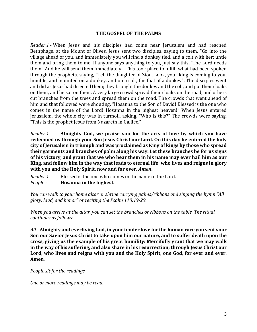#### THE GOSPEL OF THE PALMS

*Reader 1 -* When Jesus and his disciples had come near Jerusalem and had reached Bethphage, at the Mount of Olives, Jesus sent two disciples, saying to them, "Go into the village ahead of you, and immediately you will find a donkey tied, and a colt with her; untie them and bring them to me. If anyone says anything to you, just say this, 'The Lord needs them.' And he will send them immediately." This took place to fulfill what had been spoken through the prophets, saying, "Tell the daughter of Zion, Look, your king is coming to you, humble, and mounted on a donkey, and on a colt, the foal of a donkey". The disciples went and did as Jesus had directed them; they brought the donkey and the colt, and put their cloaks on them, and he sat on them. A very large crowd spread their cloaks on the road, and others cut branches from the trees and spread them on the road. The crowds that went ahead of him and that followed were shouting, "Hosanna to the Son of David! Blessed is the one who comes in the name of the Lord! Hosanna in the highest heaven!" When Jesus entered Jerusalem, the whole city was in turmoil, asking, "Who is this?" The crowds were saying, "This is the prophet Jesus from Nazareth in Galilee."

*Reader 1* - **Almighty God, we praise you for the acts of love by which you have** redeemed us through your Son Jesus Christ our Lord. On this day he entered the holy city of Jerusalem in triumph and was proclaimed as King of kings by those who spread their garments and branches of palm along his way. Let these branches be for us signs of his victory, and grant that we who bear them in his name may ever hail him as our King, and follow him in the way that leads to eternal life; who lives and reigns in glory **with you and the Holy Spirit, now and for ever.** *Amen***.** 

*Reader 1* - Blessed is the one who comes in the name of the Lord. *People* **- Hosanna** in the highest.

*You can walk to your home altar or shrine carrying palms/ribbons and singing the hymn "All glory, laud, and honor" or reciting the Psalm 118:19-29.*

*When you arrive at the altar, you can set the branches or ribbons on the table. The ritual continues as follows:*

All - Almighty and everliving God, in your tender love for the human race you sent your **Son our Savior Jesus Christ to take upon him our nature, and to suffer death upon the** cross, giving us the example of his great humility: Mercifully grant that we may walk in the way of his suffering, and also share in his resurrection; through Jesus Christ our Lord, who lives and reigns with you and the Holy Spirit, one God, for ever and ever. **Amen***.*

*People sit for the readings.*

*One or more readings may be read.*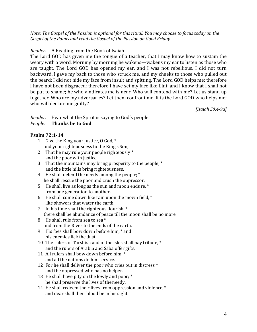Note: The Gospel of the Passion is optional for this ritual. You may choose to focus today on the *Gospel of the Palms and read the Gospel of the Passion on Good Friday.*

#### *Reader:* A Reading from the Book of Isaiah

The Lord GOD has given me the tongue of a teacher, that I may know how to sustain the weary with a word. Morning by morning he wakens—wakens my ear to listen as those who are taught. The Lord GOD has opened my ear, and I was not rebellious, I did not turn backward. I gave my back to those who struck me, and my cheeks to those who pulled out the beard; I did not hide my face from insult and spitting. The Lord GOD helps me; therefore I have not been disgraced; therefore I have set my face like flint, and I know that I shall not be put to shame; he who vindicates me is near. Who will contend with me? Let us stand up together. Who are my adversaries? Let them confront me. It is the Lord GOD who helps me; who will declare me guilty?

*[Isaiah 50:4-9a]*

*Reader:* Hear what the Spirit is saying to God's people.

#### *People:* Thanks be to God

#### **Psalm 72:1-14**

- 1 Give the King your justice,  $0$  God,  $*$ and your righteousness to the King's Son,
- 2 That he may rule your people righteously  $*$ and the poor with justice;
- 3 That the mountains may bring prosperity to the people,  $*$ and the little hills bring righteousness.
- 4 He shall defend the needy among the people;  $*$ he shall rescue the poor and crush the oppressor.
- 5 He shall live as long as the sun and moon endure, $*$ from one generation to another.
- 6 He shall come down like rain upon the mown field, $*$ like showers that water the earth.
- 7 In his time shall the righteous flourish;  $*$ there shall be abundance of peace till the moon shall be no more.
- 8 He shall rule from sea to sea  $*$ and from the River to the ends of the earth.
- 9 His foes shall bow down before him,  $*$  and his enemies lick the dust.
- 10 The rulers of Tarshish and of the isles shall pay tribute, \* and the rulers of Arabia and Saba offer gifts.
- 11 All rulers shall bow down before him, \* and all the nations do him service.
- 12 For he shall deliver the poor who cries out in distress \* and the oppressed who has no helper.
- 13 He shall have pity on the lowly and poor;  $*$ he shall preserve the lives of the needy.
- 14 He shall redeem their lives from oppression and violence, $*$ and dear shall their blood be in his sight.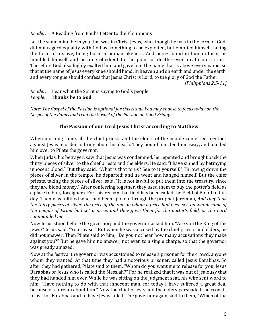*Reader:* A Reading from Paul's Letter to the Philippians

Let the same mind be in you that was in Christ Jesus, who, though he was in the form of God, did not regard equality with God as something to be exploited, but emptied himself, taking the form of a slave, being born in human likeness. And being found in human form, he humbled himself and became obedient to the point of death—even death on a cross. Therefore God also highly exalted him and gave him the name that is above every name, so that at the name of Jesus every knee should bend, in heaven and on earth and under the earth, and every tongue should confess that Jesus Christ is Lord, to the glory of God the Father.

*[Philippians 2:5-11]*

*Reader:* Hear what the Spirit is saying to God's people. *People:* **Thanks be to God** 

Note: The Gospel of the Passion is optional for this ritual. You may choose to focus today on the *Gospel of the Palms and read the Gospel of the Passion on Good Friday.*

### **The Passion of our Lord Jesus Christ according to Matthew**

When morning came, all the chief priests and the elders of the people conferred together against Jesus in order to bring about his death. They bound him, led him away, and handed him over to Pilate the governor.

When Judas, his betrayer, saw that Jesus was condemned, he repented and brought back the thirty pieces of silver to the chief priests and the elders. He said, "I have sinned by betraying innocent blood." But they said, "What is that to us? See to it yourself." Throwing down the pieces of silver in the temple, he departed; and he went and hanged himself. But the chief priests, taking the pieces of silver, said, "It is not lawful to put them into the treasury, since they are blood money." After conferring together, they used them to buy the potter's field as a place to bury foreigners. For this reason that field has been called the Field of Blood to this day. Then was fulfilled what had been spoken through the prophet Jeremiah, *And they took* the thirty pieces of silver, the price of the one on whom a price had been set, on whom some of *the people of Israel had set a price, and they gave them for the potter's field, as the Lord commanded me*.

Now Jesus stood before the governor; and the governor asked him, "Are you the King of the Jews?" Jesus said, "You say so." But when he was accused by the chief priests and elders, he did not answer. Then Pilate said to him, "Do you not hear how many accusations they make against you?" But he gave him no answer, not even to a single charge, so that the governor was greatly amazed.

Now at the festival the governor was accustomed to release a prisoner for the crowd, anyone whom they wanted. At that time they had a notorious prisoner, called Jesus Barabbas. So after they had gathered, Pilate said to them, "Whom do you want me to release for you, Jesus Barabbas or Jesus who is called the Messiah?" For he realized that it was out of jealousy that they had handed him over. While he was sitting on the judgment seat, his wife sent word to him, "Have nothing to do with that innocent man, for today I have suffered a great deal because of a dream about him." Now the chief priests and the elders persuaded the crowds to ask for Barabbas and to have Jesus killed. The governor again said to them, "Which of the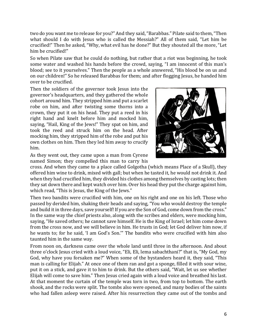two do you want me to release for you?" And they said, "Barabbas." Pilate said to them, "Then what should I do with Jesus who is called the Messiah?" All of them said, "Let him be crucified!" Then he asked, "Why, what evil has he done?" But they shouted all the more, "Let him be crucified!"

So when Pilate saw that he could do nothing, but rather that a riot was beginning, he took some water and washed his hands before the crowd, saying, "I am innocent of this man's blood; see to it yourselves." Then the people as a whole answered, "His blood be on us and on our children!" So he released Barabbas for them; and after flogging Jesus, he handed him over to be crucified.

Then the soldiers of the governor took Jesus into the governor's headquarters, and they gathered the whole cohort around him. They stripped him and put a scarlet robe on him, and after twisting some thorns into a crown, they put it on his head. They put a reed in his right hand and knelt before him and mocked him, saying, "Hail, King of the Jews!" They spat on him, and took the reed and struck him on the head. After mocking him, they stripped him of the robe and put his own clothes on him. Then they led him away to crucify him.



As they went out, they came upon a man from Cyrene named Simon; they compelled this man to carry his

cross. And when they came to a place called Golgotha (which means Place of a Skull), they offered him wine to drink, mixed with gall; but when he tasted it, he would not drink it. And when they had crucified him, they divided his clothes among themselves by casting lots; then they sat down there and kept watch over him. Over his head they put the charge against him, which read, "This is Jesus, the King of the Jews."

Then two bandits were crucified with him, one on his right and one on his left. Those who passed by derided him, shaking their heads and saying, "You who would destroy the temple and build it in three days, save yourself! If you are the Son of God, come down from the cross." In the same way the chief priests also, along with the scribes and elders, were mocking him, saying, "He saved others; he cannot save himself. He is the King of Israel; let him come down from the cross now, and we will believe in him. He trusts in God; let God deliver him now, if he wants to; for he said, 'I am God's Son."" The bandits who were crucified with him also taunted him in the same way.

From noon on, darkness came over the whole land until three in the afternoon. And about three o'clock Jesus cried with a loud voice, "Eli, Eli, lema sabachthani?" that is, "My God, my God, why have you forsaken me?" When some of the bystanders heard it, they said, "This man is calling for Elijah." At once one of them ran and got a sponge, filled it with sour wine, put it on a stick, and gave it to him to drink. But the others said, "Wait, let us see whether Elijah will come to save him." Then Jesus cried again with a loud voice and breathed his last. At that moment the curtain of the temple was torn in two, from top to bottom. The earth shook, and the rocks were split. The tombs also were opened, and many bodies of the saints who had fallen asleep were raised. After his resurrection they came out of the tombs and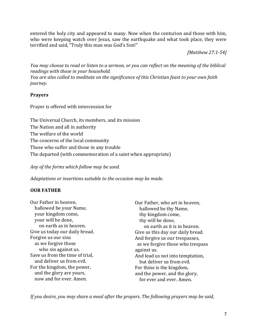entered the holy city and appeared to many. Now when the centurion and those with him, who were keeping watch over Jesus, saw the earthquake and what took place, they were terrified and said, "Truly this man was God's Son!"

*[Matthew 27:1-54]*

You may choose to read or listen to a sermon, or you can reflect on the meaning of the biblical *readings with those in your household. You are also called to meditate on the significance of this Christian feast to your own faith journey.*

### **Prayers**

Prayer is offered with intercession for

The Universal Church, its members, and its mission The Nation and all in authority The welfare of the world The concerns of the local community Those who suffer and those in any trouble The departed (with commemoration of a saint when appropriate)

Any of the forms which follow may be used.

Adaptations or insertions suitable to the occasion may be made.

## **OUR FATHER**

Our Father in heaven, hallowed be your Name, your kingdom come, your will be done. on earth as in heaven. Give us today our daily bread. Forgive us our sins as we forgive those who sin against us. Save us from the time of trial, and deliver us from evil. For the kingdom, the power, and the glory are yours, now and for ever. Amen.

Our Father, who art in heaven, hallowed be thy Name, thy kingdom come, thy will be done, on earth as it is in heaven. Give us this day our daily bread. And forgive us our trespasses, as we forgive those who trespass against us. And lead us not into temptation, but deliver us from evil. For thine is the kingdom, and the power, and the glory, for ever and ever. Amen.

*If you desire, you may share a meal after the prayers. The following prayers may be said,*